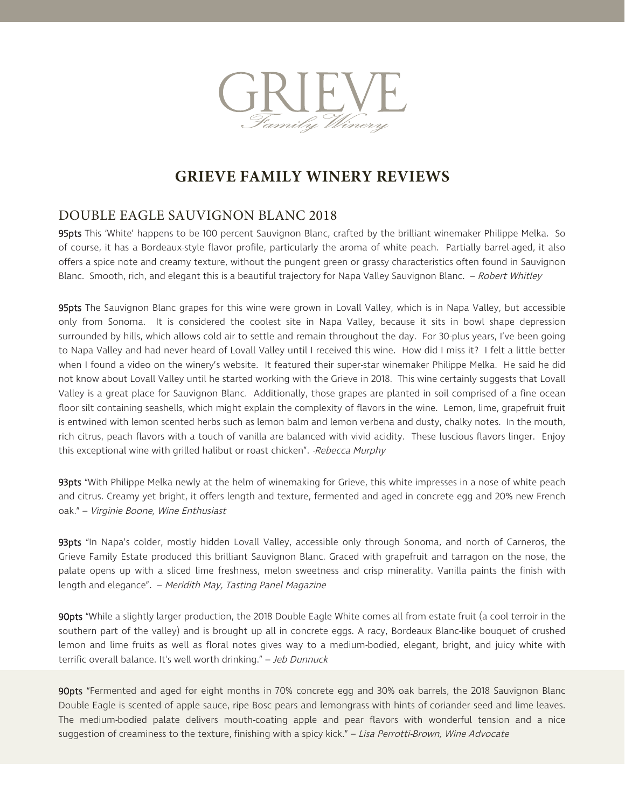

### DOUBLE EAGLE SAUVIGNON BLANC 2018

95pts This 'White' happens to be 100 percent Sauvignon Blanc, crafted by the brilliant winemaker Philippe Melka. So of course, it has a Bordeaux-style flavor profile, particularly the aroma of white peach. Partially barrel-aged, it also offers a spice note and creamy texture, without the pungent green or grassy characteristics often found in Sauvignon Blanc. Smooth, rich, and elegant this is a beautiful trajectory for Napa Valley Sauvignon Blanc. – Robert Whitley

95pts The Sauvignon Blanc grapes for this wine were grown in Lovall Valley, which is in Napa Valley, but accessible only from Sonoma. It is considered the coolest site in Napa Valley, because it sits in bowl shape depression surrounded by hills, which allows cold air to settle and remain throughout the day. For 30-plus years, I've been going to Napa Valley and had never heard of Lovall Valley until I received this wine. How did I miss it? I felt a little better when I found a video on the winery's website. It featured their super-star winemaker Philippe Melka. He said he did not know about Lovall Valley until he started working with the Grieve in 2018. This wine certainly suggests that Lovall Valley is a great place for Sauvignon Blanc. Additionally, those grapes are planted in soil comprised of a fine ocean floor silt containing seashells, which might explain the complexity of flavors in the wine. Lemon, lime, grapefruit fruit is entwined with lemon scented herbs such as lemon balm and lemon verbena and dusty, chalky notes. In the mouth, rich citrus, peach flavors with a touch of vanilla are balanced with vivid acidity. These luscious flavors linger. Enjoy this exceptional wine with grilled halibut or roast chicken". -Rebecca Murphy

93pts "With Philippe Melka newly at the helm of winemaking for Grieve, this white impresses in a nose of white peach and citrus. Creamy yet bright, it offers length and texture, fermented and aged in concrete egg and 20% new French oak." – Virginie Boone, Wine Enthusiast

93pts "In Napa's colder, mostly hidden Lovall Valley, accessible only through Sonoma, and north of Carneros, the Grieve Family Estate produced this brilliant Sauvignon Blanc. Graced with grapefruit and tarragon on the nose, the palate opens up with a sliced lime freshness, melon sweetness and crisp minerality. Vanilla paints the finish with length and elegance". – Meridith May, Tasting Panel Magazine

90pts "While a slightly larger production, the 2018 Double Eagle White comes all from estate fruit (a cool terroir in the southern part of the valley) and is brought up all in concrete eggs. A racy, Bordeaux Blanc-like bouquet of crushed lemon and lime fruits as well as floral notes gives way to a medium-bodied, elegant, bright, and juicy white with terrific overall balance. It's well worth drinking." - Jeb Dunnuck

90pts "Fermented and aged for eight months in 70% concrete egg and 30% oak barrels, the 2018 Sauvignon Blanc Double Eagle is scented of apple sauce, ripe Bosc pears and lemongrass with hints of coriander seed and lime leaves. The medium-bodied palate delivers mouth-coating apple and pear flavors with wonderful tension and a nice suggestion of creaminess to the texture, finishing with a spicy kick." - Lisa Perrotti-Brown, Wine Advocate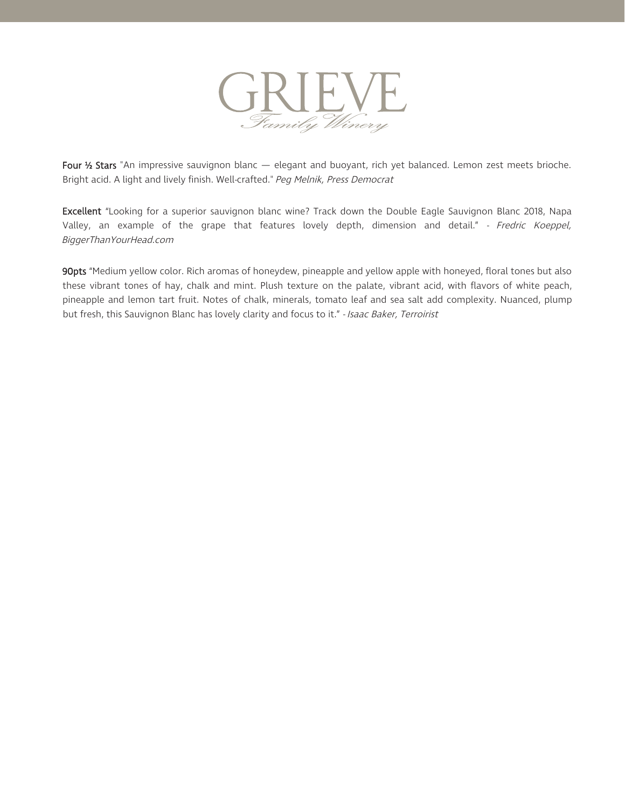

Four 1/2 Stars "An impressive sauvignon blanc — elegant and buoyant, rich yet balanced. Lemon zest meets brioche. Bright acid. A light and lively finish. Well-crafted." Peg Melnik, Press Democrat

Excellent "Looking for a superior sauvignon blanc wine? Track down the Double Eagle Sauvignon Blanc 2018, Napa Valley, an example of the grape that features lovely depth, dimension and detail." - Fredric Koeppel, BiggerThanYourHead.com

90pts "Medium yellow color. Rich aromas of honeydew, pineapple and yellow apple with honeyed, floral tones but also these vibrant tones of hay, chalk and mint. Plush texture on the palate, vibrant acid, with flavors of white peach, pineapple and lemon tart fruit. Notes of chalk, minerals, tomato leaf and sea salt add complexity. Nuanced, plump but fresh, this Sauvignon Blanc has lovely clarity and focus to it." - Isaac Baker, Terroirist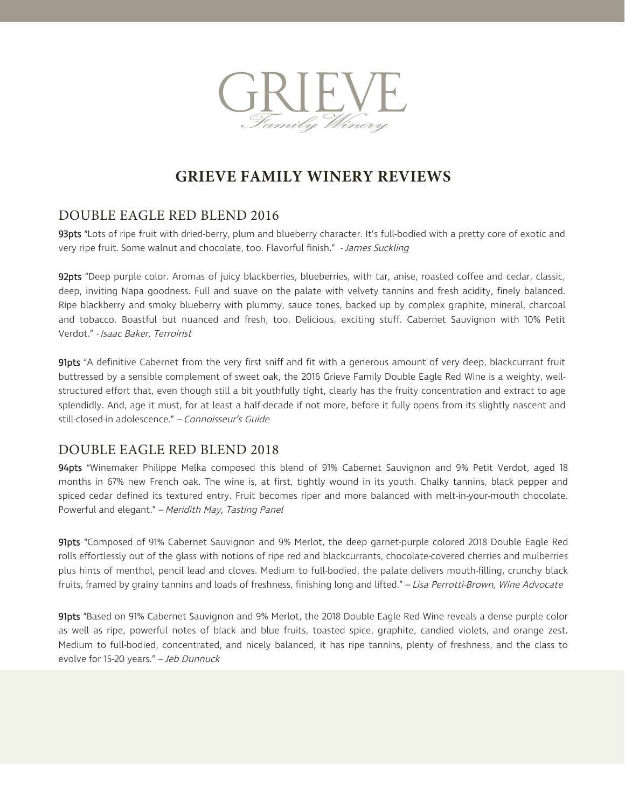

#### DOUBLE EAGLE RED BLEND 2016

93pts "Lots of ripe fruit with dried-berry, plum and blueberry character. It's full-bodied with a pretty core of exotic and very ripe fruit. Some walnut and chocolate, too. Flavorful finish." - James Suckling

92pts "Deep purple color. Aromas of juicy blackberries, blueberries, with tar, anise, roasted coffee and cedar, classic, deep, inviting Napa goodness. Full and suave on the palate with velvety tannins and fresh acidity, finely balanced. Ripe blackberry and smoky blueberry with plummy, sauce tones, backed up by complex graphite, mineral, charcoal and tobacco. Boastful but nuanced and fresh, too. Delicious, exciting stuff. Cabernet Sauvignon with 10% Petit Verdot." - Isaac Baker, Terroirist

91pts "A definitive Cabernet from the very first sniff and fit with a generous amount of very deep, blackcurrant fruit buttressed by a sensible complement of sweet oak, the 2016 Grieve Family Double Eagle Red Wine is a weighty, wellstructured effort that, even though still a bit youthfully tight, clearly has the fruity concentration and extract to age splendidly. And, age it must, for at least a half-decade if not more, before it fully opens from its slightly nascent and still-closed-in adolescence." – Connoisseur's Guide

#### DOUBLE EAGLE RED BLEND 2018

94pts "Winemaker Philippe Melka composed this blend of 91% Cabernet Sauvignon and 9% Petit Verdot, aged 18 months in 67% new French oak. The wine is, at first, tightly wound in its youth. Chalky tannins, black pepper and spiced cedar defined its textured entry. Fruit becomes riper and more balanced with melt-in-your-mouth chocolate. Powerful and elegant." – Meridith May, Tasting Panel

91pts "Composed of 91% Cabernet Sauvignon and 9% Merlot, the deep garnet-purple colored 2018 Double Eagle Red rolls effortlessly out of the glass with notions of ripe red and blackcurrants, chocolate-covered cherries and mulberries plus hints of menthol, pencil lead and cloves. Medium to full-bodied, the palate delivers mouth-filling, crunchy black fruits, framed by grainy tannins and loads of freshness, finishing long and lifted." – Lisa Perrotti-Brown, Wine Advocate

91pts "Based on 91% Cabernet Sauvignon and 9% Merlot, the 2018 Double Eagle Red Wine reveals a dense purple color as well as ripe, powerful notes of black and blue fruits, toasted spice, graphite, candied violets, and orange zest. Medium to full-bodied, concentrated, and nicely balanced, it has ripe tannins, plenty of freshness, and the class to evolve for 15-20 years." – Jeb Dunnuck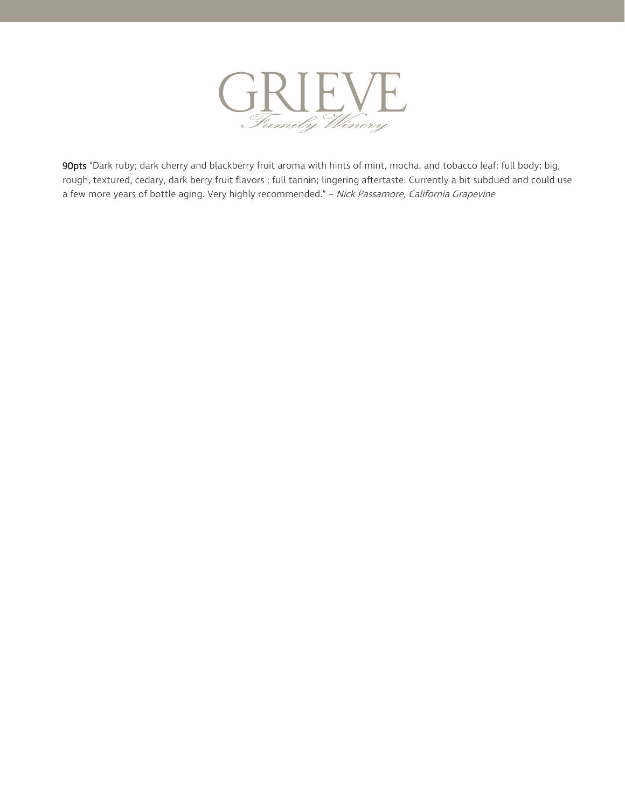

90pts "Dark ruby; dark cherry and blackberry fruit aroma with hints of mint, mocha, and tobacco leaf; full body; big, rough, textured, cedary, dark berry fruit flavors ; full tannin; lingering aftertaste. Currently a bit subdued and could use a few more years of bottle aging. Very highly recommended." - Nick Passamore, California Grapevine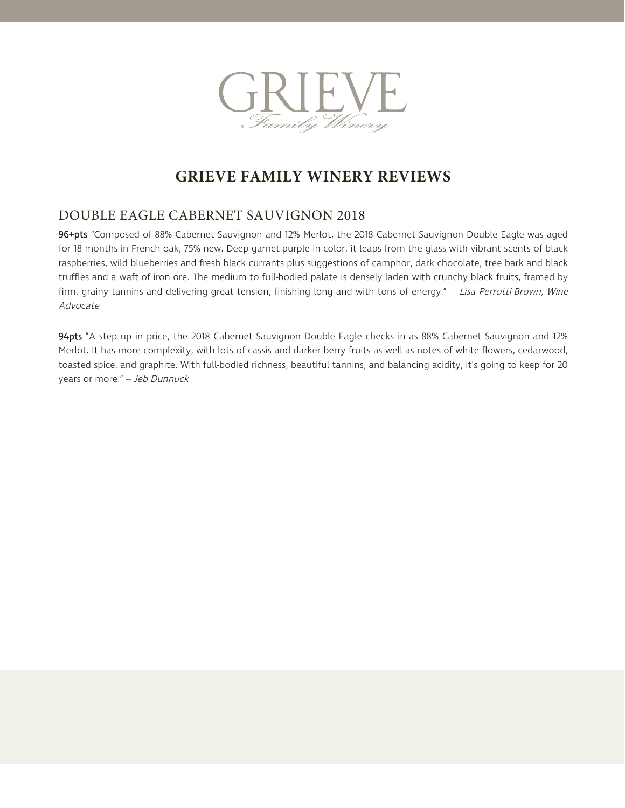

### DOUBLE EAGLE CABERNET SAUVIGNON 2018

96+pts "Composed of 88% Cabernet Sauvignon and 12% Merlot, the 2018 Cabernet Sauvignon Double Eagle was aged for 18 months in French oak, 75% new. Deep garnet-purple in color, it leaps from the glass with vibrant scents of black raspberries, wild blueberries and fresh black currants plus suggestions of camphor, dark chocolate, tree bark and black truffles and a waft of iron ore. The medium to full-bodied palate is densely laden with crunchy black fruits, framed by firm, grainy tannins and delivering great tension, finishing long and with tons of energy." - Lisa Perrotti-Brown, Wine Advocate

94pts "A step up in price, the 2018 Cabernet Sauvignon Double Eagle checks in as 88% Cabernet Sauvignon and 12% Merlot. It has more complexity, with lots of cassis and darker berry fruits as well as notes of white flowers, cedarwood, toasted spice, and graphite. With full-bodied richness, beautiful tannins, and balancing acidity, it's going to keep for 20 years or more." – Jeb Dunnuck